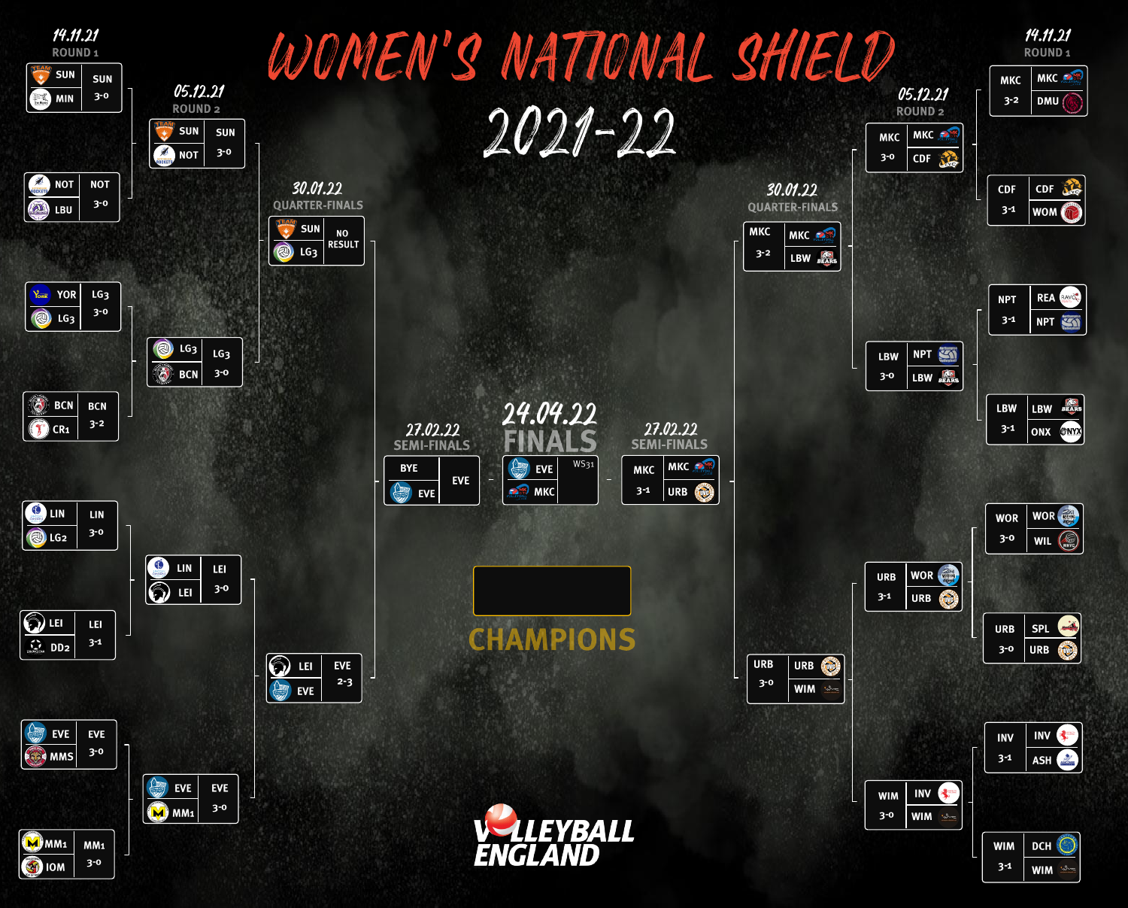